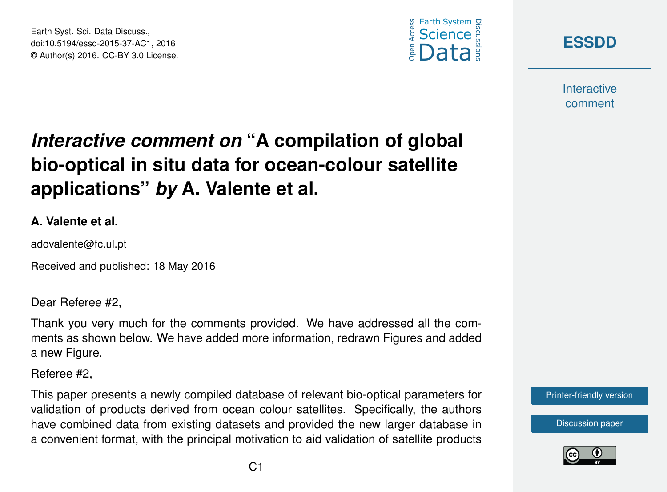Earth Syst. Sci. Data Discuss., doi:10.5194/essd-2015-37-AC1, 2016 © Author(s) 2016. CC-BY 3.0 License.





**Interactive** comment

# *Interactive comment on* **"A compilation of global bio-optical in situ data for ocean-colour satellite applications"** *by* **A. Valente et al.**

#### **A. Valente et al.**

adovalente@fc.ul.pt

Received and published: 18 May 2016

Dear Referee #2,

Thank you very much for the comments provided. We have addressed all the comments as shown below. We have added more information, redrawn Figures and added a new Figure.

Referee #2,

This paper presents a newly compiled database of relevant bio-optical parameters for validation of products derived from ocean colour satellites. Specifically, the authors have combined data from existing datasets and provided the new larger database in a convenient format, with the principal motivation to aid validation of satellite products



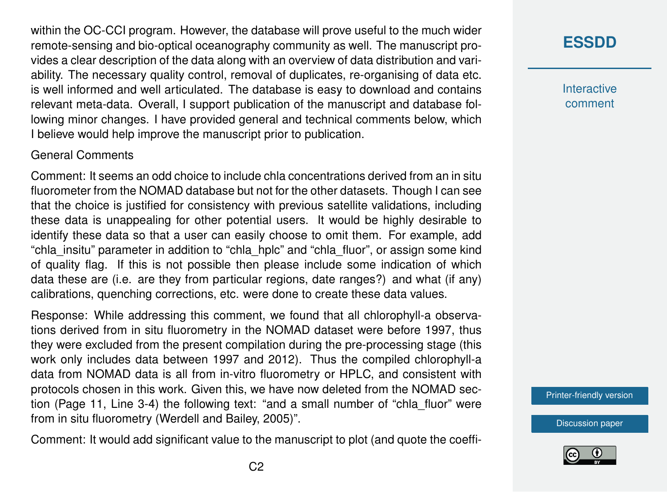within the OC-CCI program. However, the database will prove useful to the much wider remote-sensing and bio-optical oceanography community as well. The manuscript provides a clear description of the data along with an overview of data distribution and variability. The necessary quality control, removal of duplicates, re-organising of data etc. is well informed and well articulated. The database is easy to download and contains relevant meta-data. Overall, I support publication of the manuscript and database following minor changes. I have provided general and technical comments below, which I believe would help improve the manuscript prior to publication.

#### General Comments

Comment: It seems an odd choice to include chla concentrations derived from an in situ fluorometer from the NOMAD database but not for the other datasets. Though I can see that the choice is justified for consistency with previous satellite validations, including these data is unappealing for other potential users. It would be highly desirable to identify these data so that a user can easily choose to omit them. For example, add "chla\_insitu" parameter in addition to "chla\_hplc" and "chla\_fluor", or assign some kind of quality flag. If this is not possible then please include some indication of which data these are (i.e. are they from particular regions, date ranges?) and what (if any) calibrations, quenching corrections, etc. were done to create these data values.

Response: While addressing this comment, we found that all chlorophyll-a observations derived from in situ fluorometry in the NOMAD dataset were before 1997, thus they were excluded from the present compilation during the pre-processing stage (this work only includes data between 1997 and 2012). Thus the compiled chlorophyll-a data from NOMAD data is all from in-vitro fluorometry or HPLC, and consistent with protocols chosen in this work. Given this, we have now deleted from the NOMAD section (Page 11, Line 3-4) the following text: "and a small number of "chla\_fluor" were from in situ fluorometry (Werdell and Bailey, 2005)".

Comment: It would add significant value to the manuscript to plot (and quote the coeffi-

## **[ESSDD](http://www.earth-syst-sci-data-discuss.net/)**

**Interactive** comment

[Printer-friendly version](http://www.earth-syst-sci-data-discuss.net/essd-2015-37/essd-2015-37-AC1-print.pdf)

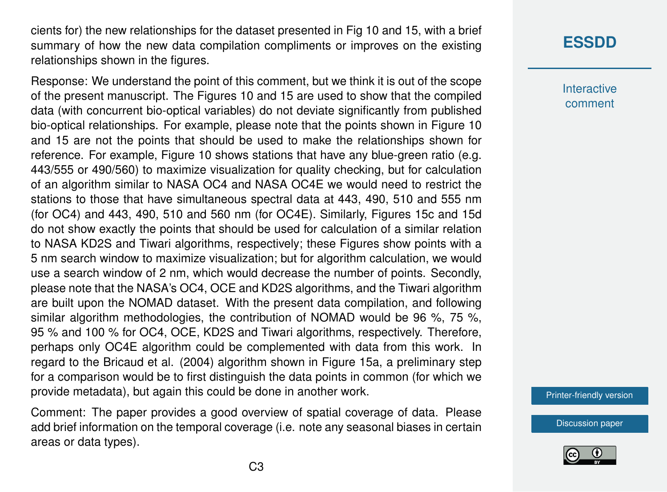cients for) the new relationships for the dataset presented in Fig 10 and 15, with a brief summary of how the new data compilation compliments or improves on the existing relationships shown in the figures.

Response: We understand the point of this comment, but we think it is out of the scope of the present manuscript. The Figures 10 and 15 are used to show that the compiled data (with concurrent bio-optical variables) do not deviate significantly from published bio-optical relationships. For example, please note that the points shown in Figure 10 and 15 are not the points that should be used to make the relationships shown for reference. For example, Figure 10 shows stations that have any blue-green ratio (e.g. 443/555 or 490/560) to maximize visualization for quality checking, but for calculation of an algorithm similar to NASA OC4 and NASA OC4E we would need to restrict the stations to those that have simultaneous spectral data at 443, 490, 510 and 555 nm (for OC4) and 443, 490, 510 and 560 nm (for OC4E). Similarly, Figures 15c and 15d do not show exactly the points that should be used for calculation of a similar relation to NASA KD2S and Tiwari algorithms, respectively; these Figures show points with a 5 nm search window to maximize visualization; but for algorithm calculation, we would use a search window of 2 nm, which would decrease the number of points. Secondly, please note that the NASA's OC4, OCE and KD2S algorithms, and the Tiwari algorithm are built upon the NOMAD dataset. With the present data compilation, and following similar algorithm methodologies, the contribution of NOMAD would be 96 %, 75 %, 95 % and 100 % for OC4, OCE, KD2S and Tiwari algorithms, respectively. Therefore, perhaps only OC4E algorithm could be complemented with data from this work. In regard to the Bricaud et al. (2004) algorithm shown in Figure 15a, a preliminary step for a comparison would be to first distinguish the data points in common (for which we provide metadata), but again this could be done in another work.

Comment: The paper provides a good overview of spatial coverage of data. Please add brief information on the temporal coverage (i.e. note any seasonal biases in certain areas or data types).

## **[ESSDD](http://www.earth-syst-sci-data-discuss.net/)**

**Interactive** comment

[Printer-friendly version](http://www.earth-syst-sci-data-discuss.net/essd-2015-37/essd-2015-37-AC1-print.pdf)

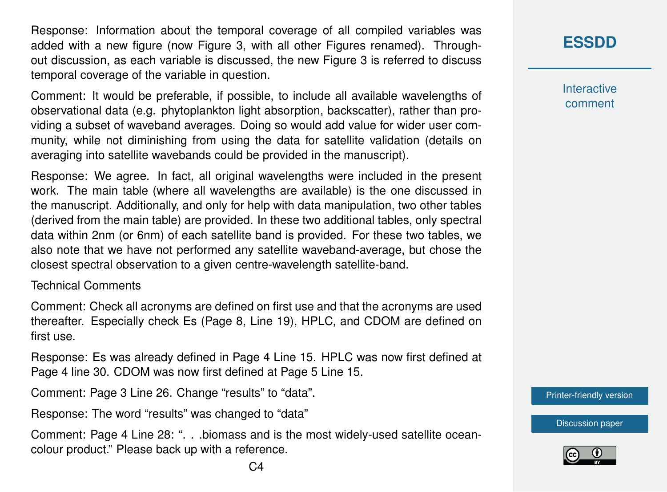Response: Information about the temporal coverage of all compiled variables was added with a new figure (now Figure 3, with all other Figures renamed). Throughout discussion, as each variable is discussed, the new Figure 3 is referred to discuss temporal coverage of the variable in question.

Comment: It would be preferable, if possible, to include all available wavelengths of observational data (e.g. phytoplankton light absorption, backscatter), rather than providing a subset of waveband averages. Doing so would add value for wider user community, while not diminishing from using the data for satellite validation (details on averaging into satellite wavebands could be provided in the manuscript).

Response: We agree. In fact, all original wavelengths were included in the present work. The main table (where all wavelengths are available) is the one discussed in the manuscript. Additionally, and only for help with data manipulation, two other tables (derived from the main table) are provided. In these two additional tables, only spectral data within 2nm (or 6nm) of each satellite band is provided. For these two tables, we also note that we have not performed any satellite waveband-average, but chose the closest spectral observation to a given centre-wavelength satellite-band.

#### Technical Comments

Comment: Check all acronyms are defined on first use and that the acronyms are used thereafter. Especially check Es (Page 8, Line 19), HPLC, and CDOM are defined on first use.

Response: Es was already defined in Page 4 Line 15. HPLC was now first defined at Page 4 line 30. CDOM was now first defined at Page 5 Line 15.

Comment: Page 3 Line 26. Change "results" to "data".

Response: The word "results" was changed to "data"

Comment: Page 4 Line 28: ". . .biomass and is the most widely-used satellite oceancolour product." Please back up with a reference.

### **[ESSDD](http://www.earth-syst-sci-data-discuss.net/)**

**Interactive** comment

[Printer-friendly version](http://www.earth-syst-sci-data-discuss.net/essd-2015-37/essd-2015-37-AC1-print.pdf)

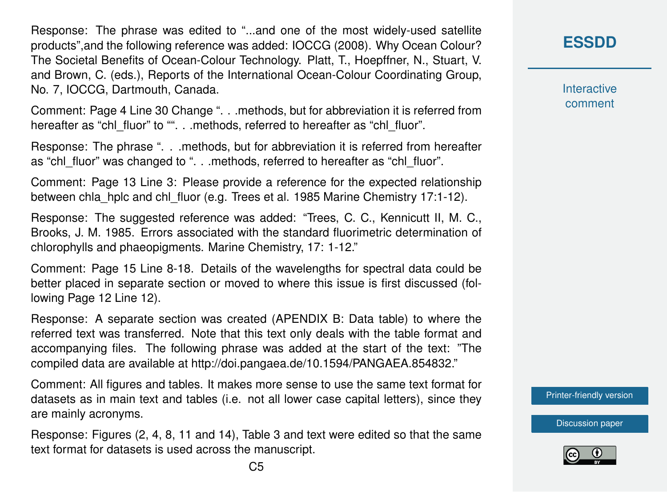Response: The phrase was edited to "...and one of the most widely-used satellite products",and the following reference was added: IOCCG (2008). Why Ocean Colour? The Societal Benefits of Ocean-Colour Technology. Platt, T., Hoepffner, N., Stuart, V. and Brown, C. (eds.), Reports of the International Ocean-Colour Coordinating Group, No. 7, IOCCG, Dartmouth, Canada.

Comment: Page 4 Line 30 Change ". . .methods, but for abbreviation it is referred from hereafter as "chl\_fluor" to "". . .methods, referred to hereafter as "chl\_fluor".

Response: The phrase ". . .methods, but for abbreviation it is referred from hereafter as "chl\_fluor" was changed to ". . .methods, referred to hereafter as "chl\_fluor".

Comment: Page 13 Line 3: Please provide a reference for the expected relationship between chla\_hplc and chl\_fluor (e.g. Trees et al. 1985 Marine Chemistry 17:1-12).

Response: The suggested reference was added: "Trees, C. C., Kennicutt II, M. C., Brooks, J. M. 1985. Errors associated with the standard fluorimetric determination of chlorophylls and phaeopigments. Marine Chemistry, 17: 1-12."

Comment: Page 15 Line 8-18. Details of the wavelengths for spectral data could be better placed in separate section or moved to where this issue is first discussed (following Page 12 Line 12).

Response: A separate section was created (APENDIX B: Data table) to where the referred text was transferred. Note that this text only deals with the table format and accompanying files. The following phrase was added at the start of the text: "The compiled data are available at http://doi.pangaea.de/10.1594/PANGAEA.854832."

Comment: All figures and tables. It makes more sense to use the same text format for datasets as in main text and tables (i.e. not all lower case capital letters), since they are mainly acronyms.

Response: Figures (2, 4, 8, 11 and 14), Table 3 and text were edited so that the same text format for datasets is used across the manuscript.

**[ESSDD](http://www.earth-syst-sci-data-discuss.net/)**

**Interactive** comment

[Printer-friendly version](http://www.earth-syst-sci-data-discuss.net/essd-2015-37/essd-2015-37-AC1-print.pdf)